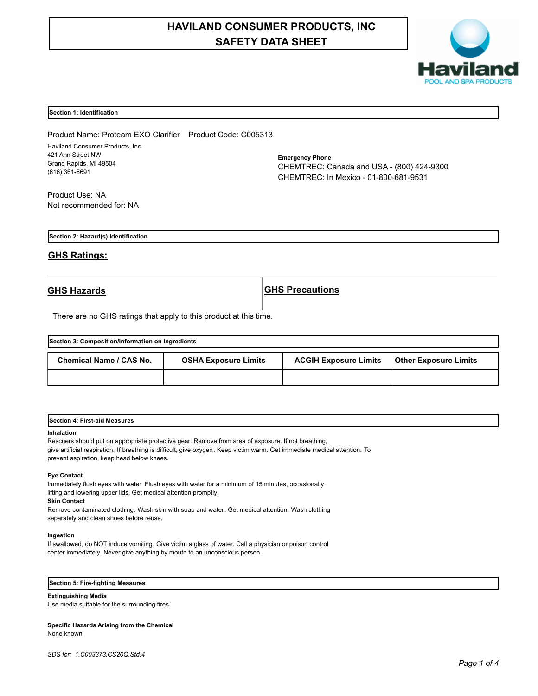# **HAVILAND CONSUMER PRODUCTS, INC SAFETY DATA SHEET**



#### **Section 1: Identification**

Product Name: Proteam EXO Clarifier Product Code: C005313 Haviland Consumer Products, Inc. 421 Ann Street NW Grand Rapids, MI 49504 (616) 361-6691

**Emergency Phone** CHEMTREC: Canada and USA - (800) 424-9300 CHEMTREC: In Mexico - 01-800-681-9531

Product Use: NA Not recommended for: NA

**Section 2: Hazard(s) Identification**

## **GHS Ratings:**

**GHS Hazards GHS Precautions**

There are no GHS ratings that apply to this product at this time.

| Section 3: Composition/Information on Ingredients |                             |                              |                              |  |
|---------------------------------------------------|-----------------------------|------------------------------|------------------------------|--|
| Chemical Name / CAS No.                           | <b>OSHA Exposure Limits</b> | <b>ACGIH Exposure Limits</b> | <b>Other Exposure Limits</b> |  |
|                                                   |                             |                              |                              |  |

| <b>Section 4: First-aid Measures</b> |  |  |
|--------------------------------------|--|--|
|                                      |  |  |

#### **Inhalation**

Rescuers should put on appropriate protective gear. Remove from area of exposure. If not breathing, give artificial respiration. If breathing is difficult, give oxygen. Keep victim warm. Get immediate medical attention. To prevent aspiration, keep head below knees.

#### **Eye Contact**

Immediately flush eyes with water. Flush eyes with water for a minimum of 15 minutes, occasionally lifting and lowering upper lids. Get medical attention promptly.

**Skin Contact**

Remove contaminated clothing. Wash skin with soap and water. Get medical attention. Wash clothing separately and clean shoes before reuse.

#### **Ingestion**

If swallowed, do NOT induce vomiting. Give victim a glass of water. Call a physician or poison control center immediately. Never give anything by mouth to an unconscious person.

## **Section 5: Fire-fighting Measures**

**Extinguishing Media**

Use media suitable for the surrounding fires.

#### **Specific Hazards Arising from the Chemical** None known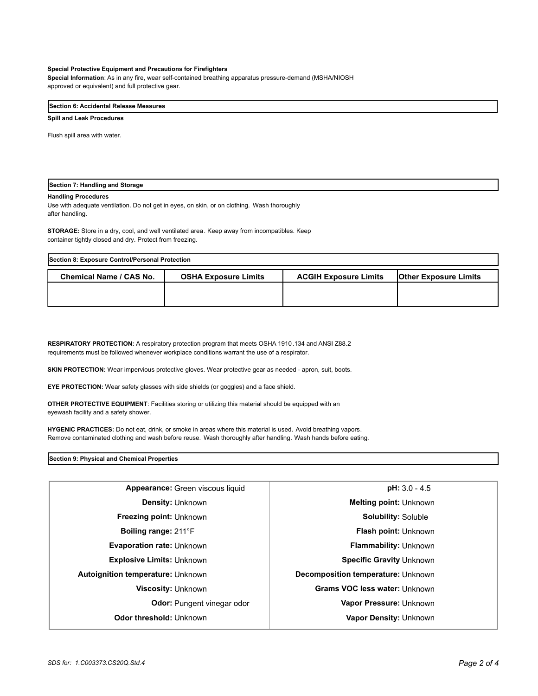#### **Special Protective Equipment and Precautions for Firefighters**

**Special Information**: As in any fire, wear self-contained breathing apparatus pressure-demand (MSHA/NIOSH approved or equivalent) and full protective gear.

## **Section 6: Accidental Release Measures**

#### **Spill and Leak Procedures**

Flush spill area with water.

## **Section 7: Handling and Storage**

#### **Handling Procedures**

Use with adequate ventilation. Do not get in eyes, on skin, or on clothing. Wash thoroughly after handling.

**STORAGE:** Store in a dry, cool, and well ventilated area. Keep away from incompatibles. Keep container tightly closed and dry. Protect from freezing.

| Section 8: Exposure Control/Personal Protection |                             |                              |                              |  |
|-------------------------------------------------|-----------------------------|------------------------------|------------------------------|--|
| Chemical Name / CAS No.                         | <b>OSHA Exposure Limits</b> | <b>ACGIH Exposure Limits</b> | <b>Other Exposure Limits</b> |  |
|                                                 |                             |                              |                              |  |
|                                                 |                             |                              |                              |  |

**RESPIRATORY PROTECTION:** A respiratory protection program that meets OSHA 1910.134 and ANSI Z88.2 requirements must be followed whenever workplace conditions warrant the use of a respirator.

**SKIN PROTECTION:** Wear impervious protective gloves. Wear protective gear as needed - apron, suit, boots.

**EYE PROTECTION:** Wear safety glasses with side shields (or goggles) and a face shield.

**OTHER PROTECTIVE EQUIPMENT**: Facilities storing or utilizing this material should be equipped with an eyewash facility and a safety shower.

**HYGENIC PRACTICES:** Do not eat, drink, or smoke in areas where this material is used. Avoid breathing vapors. Remove contaminated clothing and wash before reuse. Wash thoroughly after handling. Wash hands before eating.

**Section 9: Physical and Chemical Properties**

| Appearance: Green viscous liquid         | $pH: 3.0 - 4.5$                    |  |
|------------------------------------------|------------------------------------|--|
| <b>Density: Unknown</b>                  | <b>Melting point: Unknown</b>      |  |
| <b>Freezing point: Unknown</b>           | <b>Solubility: Soluble</b>         |  |
| <b>Boiling range: 211 F</b>              | <b>Flash point: Unknown</b>        |  |
| <b>Evaporation rate: Unknown</b>         | <b>Flammability: Unknown</b>       |  |
| <b>Explosive Limits: Unknown</b>         | <b>Specific Gravity Unknown</b>    |  |
| <b>Autoignition temperature: Unknown</b> | Decomposition temperature: Unknown |  |
| <b>Viscosity: Unknown</b>                | Grams VOC less water: Unknown      |  |
| <b>Odor:</b> Pungent vinegar odor        | Vapor Pressure: Unknown            |  |
| Odor threshold: Unknown                  | Vapor Density: Unknown             |  |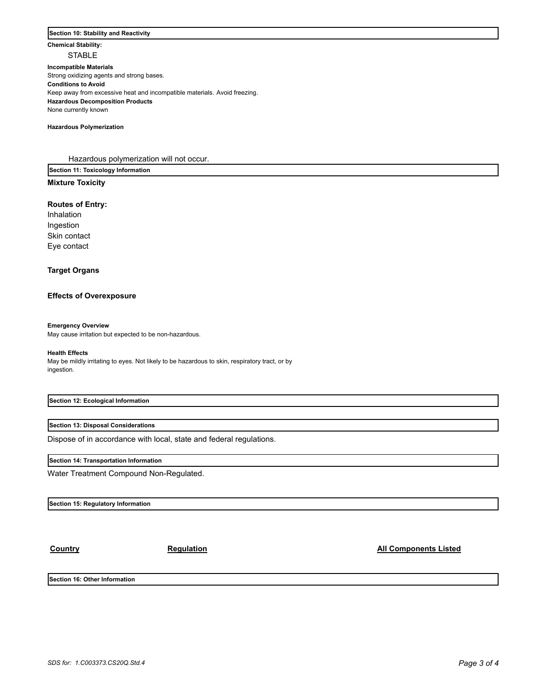## **Section 10: Stability and Reactivity**

**Chemical Stability: STABLE** 

**Incompatible Materials**  Strong oxidizing agents and strong bases. **Conditions to Avoid** Keep away from excessive heat and incompatible materials. Avoid freezing. **Hazardous Decomposition Products** None currently known

**Hazardous Polymerization**

Hazardous polymerization will not occur.

**Section 11: Toxicology Information**

## **Mixture Toxicity**

### **Routes of Entry:**

Inhalation Ingestion Skin contact Eye contact

## **Target Organs**

## **Effects of Overexposure**

#### **Emergency Overview**

May cause irritation but expected to be non-hazardous.

#### **Health Effects**

May be mildly irritating to eyes. Not likely to be hazardous to skin, respiratory tract, or by ingestion.

### **Section 12: Ecological Information**

**Section 13: Disposal Considerations**

Dispose of in accordance with local, state and federal regulations.

#### **Section 14: Transportation Information**

Water Treatment Compound Non-Regulated.

**Section 15: Regulatory Information**

**Country Country Regulation Regulation Country All Components Listed** 

**Section 16: Other Information**